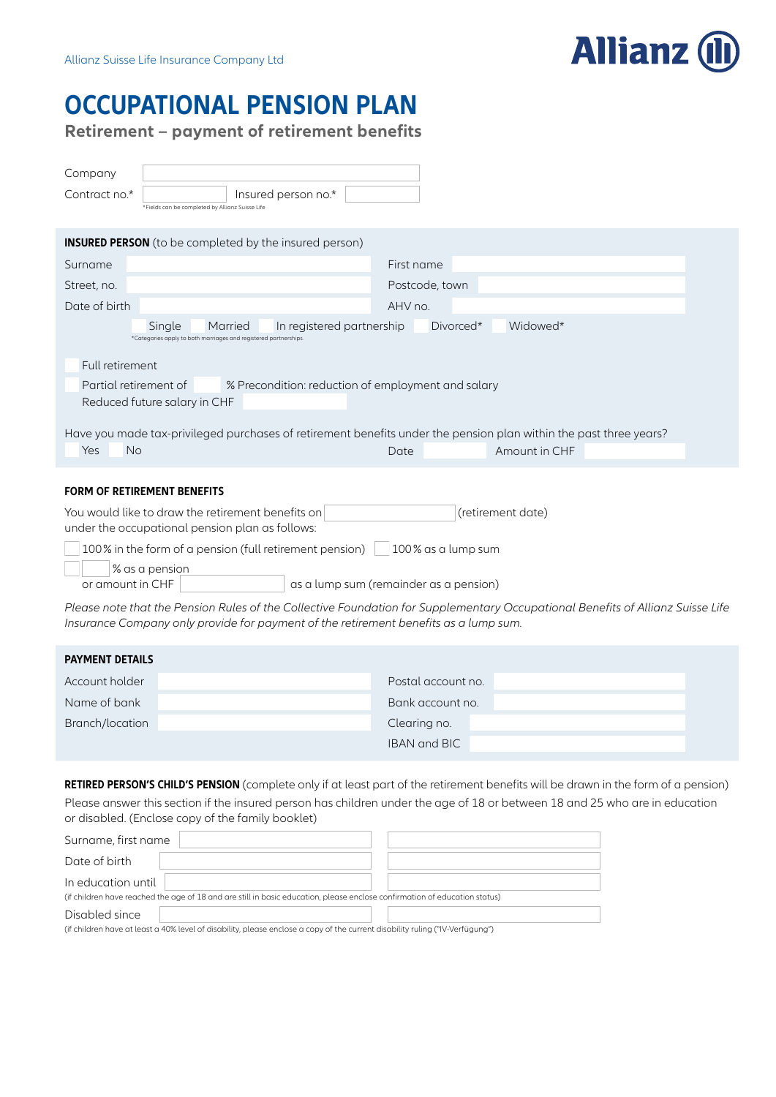

## **OCCUPATIONAL PENSION PLAN**

**Retirement – payment of retirement benefits**

| Company<br>Insured person no.*<br>Contract no.*<br>*Fields can be completed by Allianz Suisse Life                                                             |                |  |  |  |
|----------------------------------------------------------------------------------------------------------------------------------------------------------------|----------------|--|--|--|
| <b>INSURED PERSON</b> (to be completed by the insured person)                                                                                                  |                |  |  |  |
| Surname                                                                                                                                                        | First name     |  |  |  |
| Street, no.                                                                                                                                                    | Postcode, town |  |  |  |
| Date of birth                                                                                                                                                  | AHV no.        |  |  |  |
| Widowed*<br>Single<br>In registered partnership<br>Divorced*<br>Married<br>*Categories apply to both marriages and registered partnerships.                    |                |  |  |  |
| Full retirement                                                                                                                                                |                |  |  |  |
| Partial retirement of<br>% Precondition: reduction of employment and salary                                                                                    |                |  |  |  |
| Reduced future salary in CHF                                                                                                                                   |                |  |  |  |
| Have you made tax-privileged purchases of retirement benefits under the pension plan within the past three years?<br><b>No</b><br>Yes<br>Amount in CHF<br>Date |                |  |  |  |
| <b>FORM OF RETIREMENT BENEFITS</b>                                                                                                                             |                |  |  |  |
| You would like to draw the retirement benefits on<br>(retirement date)                                                                                         |                |  |  |  |

under the occupational pension plan as follows:

100% in the form of a pension (full retirement pension) 100% as a lump sum

% as a pension

or amount in CHF as a lump sum (remainder as a pension)

*Please note that the Pension Rules of the Collective Foundation for Supplementary Occupational Benefits of Allianz Suisse Life Insurance Company only provide for payment of the retirement benefits as a lump sum.*

| <b>PAYMENT DETAILS</b> |                     |
|------------------------|---------------------|
| Account holder         | Postal account no.  |
| Name of bank           | Bank account no.    |
| Branch/location        | Clearing no.        |
|                        | <b>IBAN</b> and BIC |

**RETIRED PERSON'S CHILD'S PENSION** (complete only if at least part of the retirement benefits will be drawn in the form of a pension) Please answer this section if the insured person has children under the age of 18 or between 18 and 25 who are in education or disabled. (Enclose copy of the family booklet)

| Surname, first name                                                                                                                              |  |
|--------------------------------------------------------------------------------------------------------------------------------------------------|--|
| Date of birth                                                                                                                                    |  |
| In education until<br>(if children have reached the age of 18 and are still in basic education, please enclose confirmation of education status) |  |
| Disabled since<br>(if children have at least a 40% level of disability, please enclose a copy of the current disability ruling ("IV-Verfügung")  |  |

(if children have at least a 40% level of disability, please enclose a copy of the current disability ruling ("IV-Verfügung") "